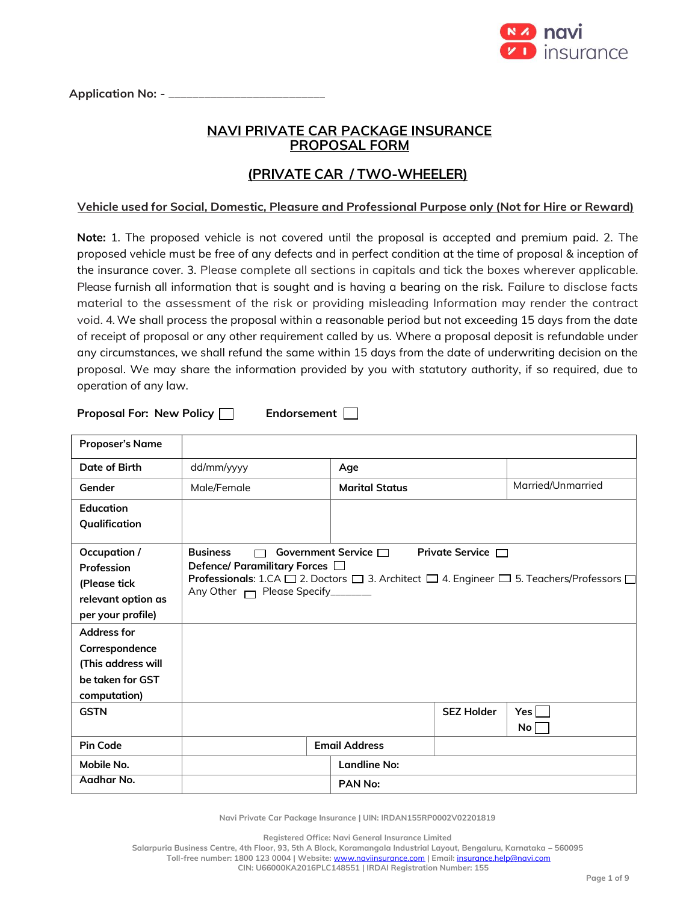

Application No: - \_

# **NAVI PRIVATE CAR PACKAGE INSURANCE PROPOSAL FORM**

# **(PRIVATE CAR / TWO-WHEELER)**

# **Vehicle used for Social, Domestic, Pleasure and Professional Purpose only (Not for Hire or Reward)**

**Note:** 1. The proposed vehicle is not covered until the proposal is accepted and premium paid. 2. The proposed vehicle must be free of any defects and in perfect condition at the time of proposal & inception of the insurance cover. 3. Please complete all sections in capitals and tick the boxes wherever applicable. Please furnish all information that is sought and is having a bearing on the risk. Failure to disclose facts material to the assessment of the risk or providing misleading Information may render the contract void. 4. We shall process the proposal within a reasonable period but not exceeding 15 days from the date of receipt of proposal or any other requirement called by us. Where a proposal deposit is refundable under any circumstances, we shall refund the same within 15 days from the date of underwriting decision on the proposal. We may share the information provided by you with statutory authority, if so required, due to operation of any law.

**Proposal For: New Policy | Endorsement** |

| <b>Proposer's Name</b>                                                                                      |                                                                                     |                           |                        |                                                                                          |
|-------------------------------------------------------------------------------------------------------------|-------------------------------------------------------------------------------------|---------------------------|------------------------|------------------------------------------------------------------------------------------|
| Date of Birth                                                                                               | dd/mm/yyyy                                                                          | Age                       |                        |                                                                                          |
| Gender                                                                                                      | Male/Female                                                                         | <b>Marital Status</b>     |                        | Married/Unmarried                                                                        |
| Education                                                                                                   |                                                                                     |                           |                        |                                                                                          |
| Qualification                                                                                               |                                                                                     |                           |                        |                                                                                          |
| Occupation /<br>Profession<br>(Please tick<br>relevant option as<br>per your profile)<br><b>Address for</b> | <b>Business</b><br>Defence/ Paramilitary Forces □<br>Any Other Mease Specify_______ | Government Service $\Box$ | Private Service $\Box$ | Professionals: 1.CA □ 2. Doctors □ 3. Architect □ 4. Engineer □ 5. Teachers/Professors □ |
| Correspondence<br>(This address will<br>be taken for GST<br>computation)                                    |                                                                                     |                           |                        |                                                                                          |
| <b>GSTN</b>                                                                                                 |                                                                                     |                           | <b>SEZ Holder</b>      | Yes l<br>No                                                                              |
| <b>Pin Code</b>                                                                                             |                                                                                     | <b>Email Address</b>      |                        |                                                                                          |
| Mobile No.                                                                                                  |                                                                                     | Landline No:              |                        |                                                                                          |
| Aadhar No.                                                                                                  |                                                                                     | PAN No:                   |                        |                                                                                          |

**Navi Private Car Package Insurance | UIN: IRDAN155RP0002V02201819**

**Registered Office: Navi General Insurance Limited**

**Salarpuria Business Centre, 4th Floor, 93, 5th A Block, Koramangala Industrial Layout, Bengaluru, Karnataka – 560095 Toll-free number: 1800 123 0004 | Website:** [www.naviinsurance.com](http://www.naviinsurance.com/) **| Email:** [insurance.help@navi.com](mailto:insurance.help@navi.com)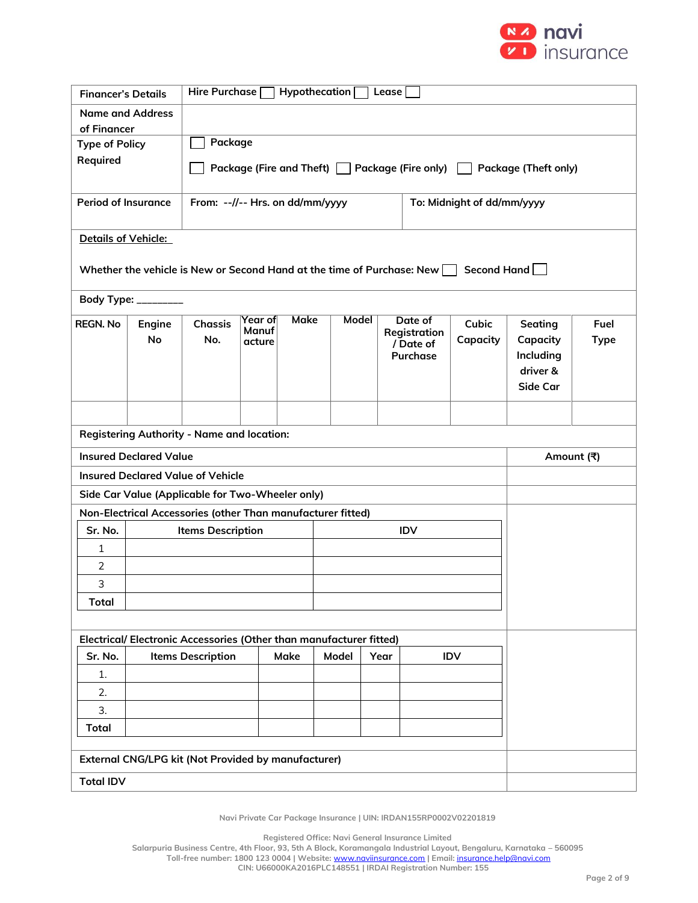

| <b>Financer's Details</b>                                           |                                                             |                                                   | Hire Purchase   Hypothecation  <br>Lease                                        |       |                    |       |                                                                                                  |          |           |             |  |
|---------------------------------------------------------------------|-------------------------------------------------------------|---------------------------------------------------|---------------------------------------------------------------------------------|-------|--------------------|-------|--------------------------------------------------------------------------------------------------|----------|-----------|-------------|--|
| <b>Name and Address</b>                                             |                                                             |                                                   |                                                                                 |       |                    |       |                                                                                                  |          |           |             |  |
| of Financer                                                         |                                                             |                                                   |                                                                                 |       |                    |       |                                                                                                  |          |           |             |  |
| <b>Type of Policy</b><br>Required                                   |                                                             |                                                   | Package                                                                         |       |                    |       |                                                                                                  |          |           |             |  |
|                                                                     |                                                             |                                                   | Package (Fire and Theft) □ Package (Fire only) [<br><b>Package (Theft only)</b> |       |                    |       |                                                                                                  |          |           |             |  |
|                                                                     |                                                             |                                                   |                                                                                 |       |                    |       |                                                                                                  |          |           |             |  |
| <b>Period of Insurance</b>                                          |                                                             |                                                   | From: --//-- Hrs. on dd/mm/yyyy<br>To: Midnight of dd/mm/yyyy                   |       |                    |       |                                                                                                  |          |           |             |  |
| Details of Vehicle:                                                 |                                                             |                                                   |                                                                                 |       |                    |       |                                                                                                  |          |           |             |  |
|                                                                     |                                                             |                                                   |                                                                                 |       |                    |       | Whether the vehicle is New or Second Hand at the time of Purchase: New $\Box$ Second Hand $\Box$ |          |           |             |  |
|                                                                     | Body Type: _________                                        |                                                   |                                                                                 |       |                    |       |                                                                                                  |          |           |             |  |
| <b>REGN. No</b>                                                     | Engine                                                      | <b>Chassis</b>                                    | Year of<br>Manuf                                                                | Make  |                    | Model | Date of                                                                                          | Cubic    | Seating   | Fuel        |  |
|                                                                     | <b>No</b>                                                   | No.                                               | acture                                                                          |       |                    |       | Registration<br>/ Date of                                                                        | Capacity | Capacity  | <b>Type</b> |  |
|                                                                     |                                                             |                                                   |                                                                                 |       |                    |       | Purchase                                                                                         |          | Including |             |  |
|                                                                     |                                                             |                                                   |                                                                                 |       |                    |       |                                                                                                  |          | driver &  |             |  |
|                                                                     |                                                             |                                                   |                                                                                 |       |                    |       |                                                                                                  |          | Side Car  |             |  |
|                                                                     |                                                             |                                                   |                                                                                 |       |                    |       |                                                                                                  |          |           |             |  |
|                                                                     |                                                             | <b>Registering Authority - Name and location:</b> |                                                                                 |       |                    |       |                                                                                                  |          |           |             |  |
| <b>Insured Declared Value</b><br>Amount (쿡)                         |                                                             |                                                   |                                                                                 |       |                    |       |                                                                                                  |          |           |             |  |
|                                                                     |                                                             | <b>Insured Declared Value of Vehicle</b>          |                                                                                 |       |                    |       |                                                                                                  |          |           |             |  |
|                                                                     | Side Car Value (Applicable for Two-Wheeler only)            |                                                   |                                                                                 |       |                    |       |                                                                                                  |          |           |             |  |
|                                                                     | Non-Electrical Accessories (other Than manufacturer fitted) |                                                   |                                                                                 |       |                    |       |                                                                                                  |          |           |             |  |
| Sr. No.                                                             |                                                             | <b>Items Description</b>                          |                                                                                 |       |                    |       | <b>IDV</b>                                                                                       |          |           |             |  |
| 1                                                                   |                                                             |                                                   |                                                                                 |       |                    |       |                                                                                                  |          |           |             |  |
| $\overline{2}$                                                      |                                                             |                                                   |                                                                                 |       |                    |       |                                                                                                  |          |           |             |  |
| 3                                                                   |                                                             |                                                   |                                                                                 |       |                    |       |                                                                                                  |          |           |             |  |
| <b>Total</b>                                                        |                                                             |                                                   |                                                                                 |       |                    |       |                                                                                                  |          |           |             |  |
| Electrical/ Electronic Accessories (Other than manufacturer fitted) |                                                             |                                                   |                                                                                 |       |                    |       |                                                                                                  |          |           |             |  |
|                                                                     |                                                             |                                                   |                                                                                 |       |                    |       |                                                                                                  |          |           |             |  |
| Sr. No.                                                             |                                                             | <b>Items Description</b>                          | <b>Make</b>                                                                     | Model | Year<br><b>IDV</b> |       |                                                                                                  |          |           |             |  |
| 1.                                                                  |                                                             |                                                   |                                                                                 |       |                    |       |                                                                                                  |          |           |             |  |
| 2.<br>3.                                                            |                                                             |                                                   |                                                                                 |       |                    |       |                                                                                                  |          |           |             |  |
|                                                                     |                                                             |                                                   |                                                                                 |       |                    |       |                                                                                                  |          |           |             |  |
|                                                                     | <b>Total</b>                                                |                                                   |                                                                                 |       |                    |       |                                                                                                  |          |           |             |  |
| External CNG/LPG kit (Not Provided by manufacturer)                 |                                                             |                                                   |                                                                                 |       |                    |       |                                                                                                  |          |           |             |  |
| <b>Total IDV</b>                                                    |                                                             |                                                   |                                                                                 |       |                    |       |                                                                                                  |          |           |             |  |

**Registered Office: Navi General Insurance Limited**

**Salarpuria Business Centre, 4th Floor, 93, 5th A Block, Koramangala Industrial Layout, Bengaluru, Karnataka – 560095**

**Toll-free number: 1800 123 0004 | Website:** [www.naviinsurance.com](http://www.naviinsurance.com/) **| Email:** [insurance.help@navi.com](mailto:insurance.help@navi.com)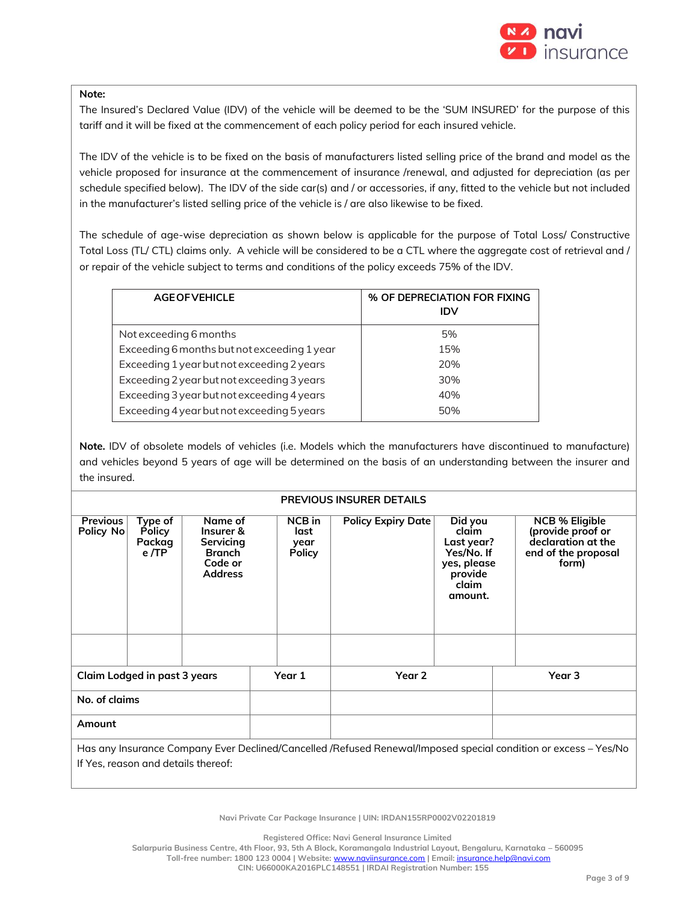

#### **Note:**

The Insured's Declared Value (IDV) of the vehicle will be deemed to be the 'SUM INSURED' for the purpose of this tariff and it will be fixed at the commencement of each policy period for each insured vehicle.

The IDV of the vehicle is to be fixed on the basis of manufacturers listed selling price of the brand and model as the vehicle proposed for insurance at the commencement of insurance /renewal, and adjusted for depreciation (as per schedule specified below). The IDV of the side car(s) and / or accessories, if any, fitted to the vehicle but not included in the manufacturer's listed selling price of the vehicle is / are also likewise to be fixed.

The schedule of age-wise depreciation as shown below is applicable for the purpose of Total Loss/ Constructive Total Loss (TL/ CTL) claims only. A vehicle will be considered to be a CTL where the aggregate cost of retrieval and / or repair of the vehicle subject to terms and conditions of the policy exceeds 75% of the IDV.

| <b>AGE OF VEHICLE</b>                       | % OF DEPRECIATION FOR FIXING<br>IDV |
|---------------------------------------------|-------------------------------------|
| Not exceeding 6 months                      | 5%                                  |
| Exceeding 6 months but not exceeding 1 year | 15%                                 |
| Exceeding 1 year but not exceeding 2 years  | 20%                                 |
| Exceeding 2 year but not exceeding 3 years  | 30%                                 |
| Exceeding 3 year but not exceeding 4 years  | 40%                                 |
| Exceeding 4 year but not exceeding 5 years  | 50%                                 |

**Note.** IDV of obsolete models of vehicles (i.e. Models which the manufacturers have discontinued to manufacture) and vehicles beyond 5 years of age will be determined on the basis of an understanding between the insurer and the insured.

#### **PREVIOUS INSURER DETAILS**

| <b>Previous</b><br>Policy No | Type of<br><b>Policy</b><br>Packag<br>e/TP | Name of<br>Insurer &<br>Servicing<br><b>Branch</b><br>Code or<br><b>Address</b> | NCB in<br>last<br>year<br><b>Policy</b> | <b>Policy Expiry Date</b> | Did you<br>claim<br>Last year?<br>Yes/No. If<br>yes, please<br>provide<br>claim<br>amount. | <b>NCB % Eligible</b><br>(provide proof or<br>declaration at the<br>end of the proposal<br>form)                |
|------------------------------|--------------------------------------------|---------------------------------------------------------------------------------|-----------------------------------------|---------------------------|--------------------------------------------------------------------------------------------|-----------------------------------------------------------------------------------------------------------------|
|                              |                                            |                                                                                 |                                         |                           |                                                                                            |                                                                                                                 |
| Claim Lodged in past 3 years |                                            | Year 1                                                                          | Year 2                                  |                           | Year 3                                                                                     |                                                                                                                 |
| No. of claims                |                                            |                                                                                 |                                         |                           |                                                                                            |                                                                                                                 |
| Amount                       |                                            |                                                                                 |                                         |                           |                                                                                            |                                                                                                                 |
|                              |                                            |                                                                                 |                                         |                           |                                                                                            | Has any Insurance Company Ever Declined/Cancelled /Refused Renewal/Imposed special condition or excess – Yes/No |

If Yes, reason and details thereof:

**Navi Private Car Package Insurance | UIN: IRDAN155RP0002V02201819**

**Registered Office: Navi General Insurance Limited**

**Salarpuria Business Centre, 4th Floor, 93, 5th A Block, Koramangala Industrial Layout, Bengaluru, Karnataka – 560095**

**Toll-free number: 1800 123 0004 | Website:** [www.naviinsurance.com](http://www.naviinsurance.com/) **| Email:** [insurance.help@navi.com](mailto:insurance.help@navi.com)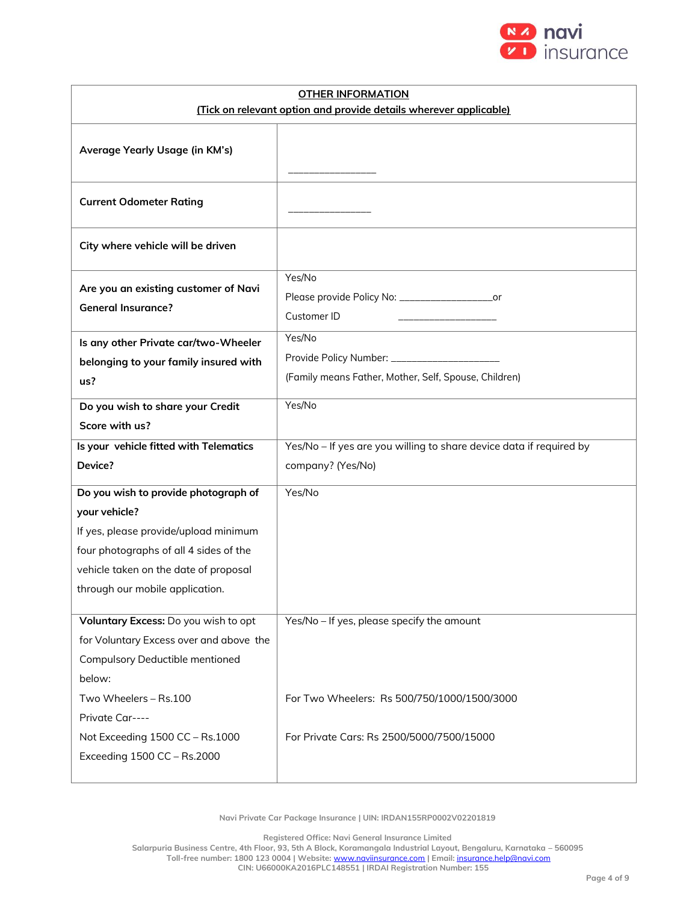

| <b>OTHER INFORMATION</b>                                          |                                                                             |  |  |  |  |
|-------------------------------------------------------------------|-----------------------------------------------------------------------------|--|--|--|--|
| (Tick on relevant option and provide details wherever applicable) |                                                                             |  |  |  |  |
| Average Yearly Usage (in KM's)                                    |                                                                             |  |  |  |  |
| <b>Current Odometer Rating</b>                                    |                                                                             |  |  |  |  |
| City where vehicle will be driven                                 |                                                                             |  |  |  |  |
| Are you an existing customer of Navi<br><b>General Insurance?</b> | Yes/No<br>Please provide Policy No: ______________________or<br>Customer ID |  |  |  |  |
| Is any other Private car/two-Wheeler                              | Yes/No                                                                      |  |  |  |  |
| belonging to your family insured with                             |                                                                             |  |  |  |  |
| us?                                                               | (Family means Father, Mother, Self, Spouse, Children)                       |  |  |  |  |
| Do you wish to share your Credit                                  | Yes/No                                                                      |  |  |  |  |
| Score with us?                                                    |                                                                             |  |  |  |  |
| Is your vehicle fitted with Telematics                            | Yes/No - If yes are you willing to share device data if required by         |  |  |  |  |
| Device?                                                           | company? (Yes/No)                                                           |  |  |  |  |
| Do you wish to provide photograph of                              | Yes/No                                                                      |  |  |  |  |
| your vehicle?                                                     |                                                                             |  |  |  |  |
| If yes, please provide/upload minimum                             |                                                                             |  |  |  |  |
| four photographs of all 4 sides of the                            |                                                                             |  |  |  |  |
| vehicle taken on the date of proposal                             |                                                                             |  |  |  |  |
| through our mobile application.                                   |                                                                             |  |  |  |  |
| Voluntary Excess: Do you wish to opt                              | Yes/No - If yes, please specify the amount                                  |  |  |  |  |
| for Voluntary Excess over and above the                           |                                                                             |  |  |  |  |
| <b>Compulsory Deductible mentioned</b>                            |                                                                             |  |  |  |  |
| below:                                                            |                                                                             |  |  |  |  |
| Two Wheelers - Rs.100                                             | For Two Wheelers: Rs 500/750/1000/1500/3000                                 |  |  |  |  |
| Private Car----                                                   |                                                                             |  |  |  |  |
| Not Exceeding 1500 CC - Rs.1000                                   | For Private Cars: Rs 2500/5000/7500/15000                                   |  |  |  |  |
| Exceeding 1500 CC - Rs.2000                                       |                                                                             |  |  |  |  |
|                                                                   |                                                                             |  |  |  |  |

**Registered Office: Navi General Insurance Limited**

**Salarpuria Business Centre, 4th Floor, 93, 5th A Block, Koramangala Industrial Layout, Bengaluru, Karnataka – 560095 Toll-free number: 1800 123 0004 | Website:** [www.naviinsurance.com](http://www.naviinsurance.com/) **| Email:** [insurance.help@navi.com](mailto:insurance.help@navi.com)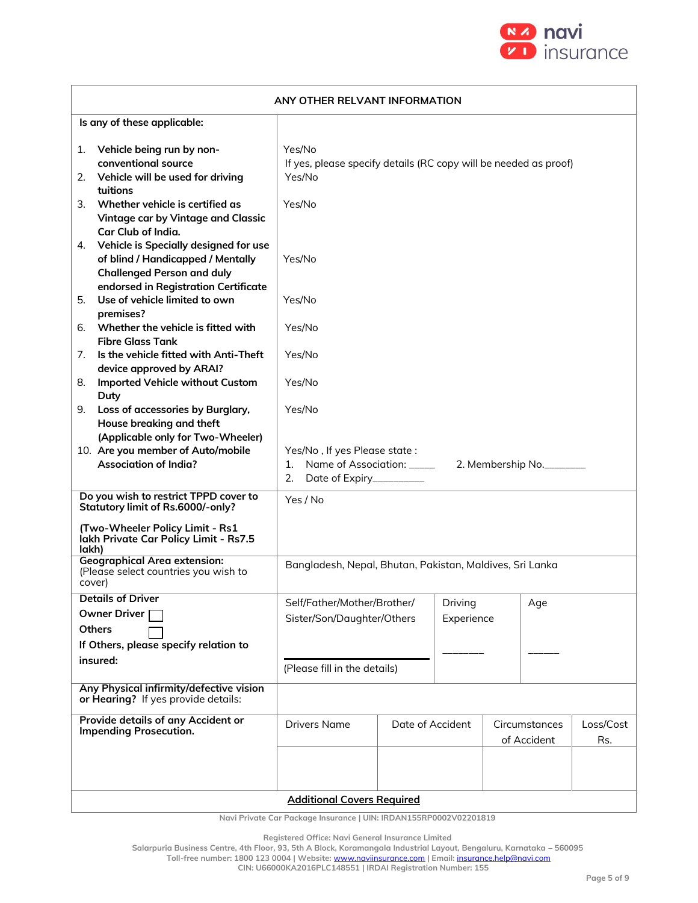

| ANY OTHER RELVANT INFORMATION                                                                                                                                 |                                                                                      |                  |                       |  |                              |                  |
|---------------------------------------------------------------------------------------------------------------------------------------------------------------|--------------------------------------------------------------------------------------|------------------|-----------------------|--|------------------------------|------------------|
| Is any of these applicable:                                                                                                                                   |                                                                                      |                  |                       |  |                              |                  |
| Vehicle being run by non-<br>1.<br>conventional source<br>Vehicle will be used for driving<br>2.                                                              | Yes/No<br>If yes, please specify details (RC copy will be needed as proof)<br>Yes/No |                  |                       |  |                              |                  |
| tuitions<br>Whether vehicle is certified as<br>3.<br>Vintage car by Vintage and Classic<br>Car Club of India.                                                 | Yes/No                                                                               |                  |                       |  |                              |                  |
| Vehicle is Specially designed for use<br>4.<br>of blind / Handicapped / Mentally<br><b>Challenged Person and duly</b><br>endorsed in Registration Certificate | Yes/No                                                                               |                  |                       |  |                              |                  |
| Use of vehicle limited to own<br>5.<br>premises?                                                                                                              | Yes/No                                                                               |                  |                       |  |                              |                  |
| Whether the vehicle is fitted with<br>6.<br><b>Fibre Glass Tank</b>                                                                                           | Yes/No                                                                               |                  |                       |  |                              |                  |
| Is the vehicle fitted with Anti-Theft<br>7.<br>device approved by ARAI?                                                                                       | Yes/No                                                                               |                  |                       |  |                              |                  |
| Imported Vehicle without Custom<br>8.<br>Duty                                                                                                                 | Yes/No                                                                               |                  |                       |  |                              |                  |
| Loss of accessories by Burglary,<br>9.<br>House breaking and theft<br>(Applicable only for Two-Wheeler)                                                       | Yes/No                                                                               |                  |                       |  |                              |                  |
| 10. Are you member of Auto/mobile<br><b>Association of India?</b>                                                                                             | Yes/No, If yes Please state:<br>2. Date of Expiry__________                          |                  |                       |  |                              |                  |
| Do you wish to restrict TPPD cover to<br>Statutory limit of Rs.6000/-only?                                                                                    | Yes / No                                                                             |                  |                       |  |                              |                  |
| (Two-Wheeler Policy Limit - Rs1<br>lakh Private Car Policy Limit - Rs7.5<br>lakh)                                                                             |                                                                                      |                  |                       |  |                              |                  |
| <b>Geographical Area extension:</b><br>(Please select countries you wish to<br>cover)                                                                         | Bangladesh, Nepal, Bhutan, Pakistan, Maldives, Sri Lanka                             |                  |                       |  |                              |                  |
| <b>Details of Driver</b><br>Owner Driver<br><b>Others</b><br>If Others, please specify relation to                                                            | Self/Father/Mother/Brother/<br>Sister/Son/Daughter/Others                            |                  | Driving<br>Experience |  | $Age \,$                     |                  |
| insured:                                                                                                                                                      | (Please fill in the details)                                                         |                  |                       |  |                              |                  |
| Any Physical infirmity/defective vision<br>or Hearing? If yes provide details:                                                                                |                                                                                      |                  |                       |  |                              |                  |
| Provide details of any Accident or<br><b>Impending Prosecution.</b>                                                                                           | <b>Drivers Name</b>                                                                  | Date of Accident |                       |  | Circumstances<br>of Accident | Loss/Cost<br>Rs. |
|                                                                                                                                                               | <b>Additional Covers Required</b>                                                    |                  |                       |  |                              |                  |

**Registered Office: Navi General Insurance Limited**

**Salarpuria Business Centre, 4th Floor, 93, 5th A Block, Koramangala Industrial Layout, Bengaluru, Karnataka – 560095**

**Toll-free number: 1800 123 0004 | Website:** [www.naviinsurance.com](http://www.naviinsurance.com/) **| Email:** [insurance.help@navi.com](mailto:insurance.help@navi.com)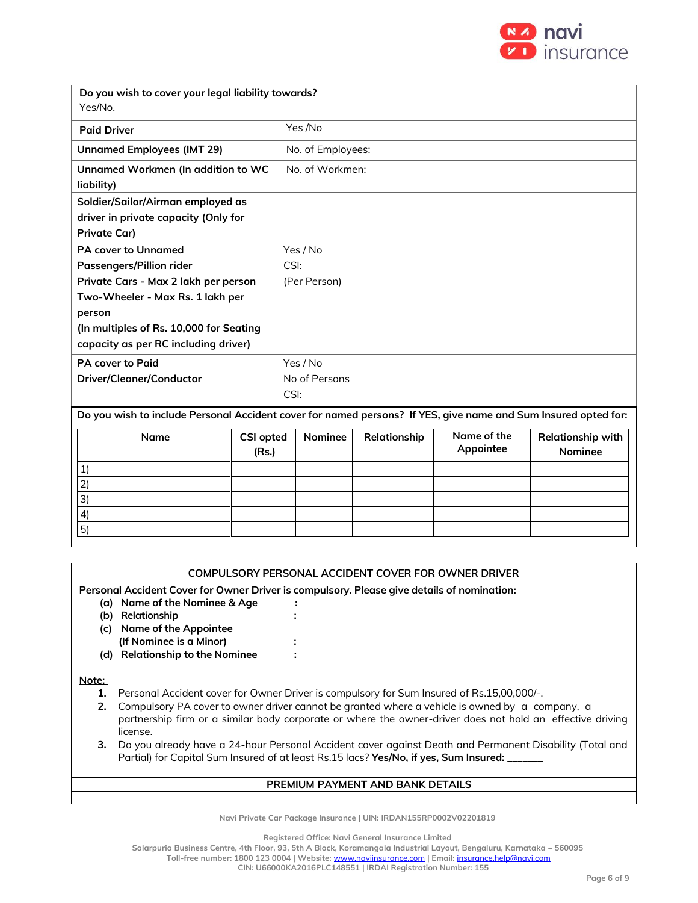

| Do you wish to cover your legal liability towards?<br>Yes/No.                                                  |                           |               |                   |              |                          |                                     |  |  |
|----------------------------------------------------------------------------------------------------------------|---------------------------|---------------|-------------------|--------------|--------------------------|-------------------------------------|--|--|
| <b>Paid Driver</b>                                                                                             |                           |               | Yes /No           |              |                          |                                     |  |  |
| <b>Unnamed Employees (IMT 29)</b>                                                                              |                           |               | No. of Employees: |              |                          |                                     |  |  |
| Unnamed Workmen (In addition to WC<br>liability)                                                               |                           |               | No. of Workmen:   |              |                          |                                     |  |  |
| Soldier/Sailor/Airman employed as                                                                              |                           |               |                   |              |                          |                                     |  |  |
| driver in private capacity (Only for                                                                           |                           |               |                   |              |                          |                                     |  |  |
| <b>Private Car)</b>                                                                                            |                           |               |                   |              |                          |                                     |  |  |
| PA cover to Unnamed                                                                                            |                           |               | Yes / No          |              |                          |                                     |  |  |
| Passengers/Pillion rider                                                                                       |                           | CSI:          |                   |              |                          |                                     |  |  |
| Private Cars - Max 2 lakh per person                                                                           |                           | (Per Person)  |                   |              |                          |                                     |  |  |
| Two-Wheeler - Max Rs. 1 lakh per                                                                               |                           |               |                   |              |                          |                                     |  |  |
| person                                                                                                         |                           |               |                   |              |                          |                                     |  |  |
| (In multiples of Rs. 10,000 for Seating                                                                        |                           |               |                   |              |                          |                                     |  |  |
| capacity as per RC including driver)                                                                           |                           |               |                   |              |                          |                                     |  |  |
| <b>PA cover to Paid</b>                                                                                        |                           |               | Yes / No          |              |                          |                                     |  |  |
| Driver/Cleaner/Conductor                                                                                       |                           | No of Persons |                   |              |                          |                                     |  |  |
|                                                                                                                |                           | CSI:          |                   |              |                          |                                     |  |  |
| Do you wish to include Personal Accident cover for named persons? If YES, give name and Sum Insured opted for: |                           |               |                   |              |                          |                                     |  |  |
| Name                                                                                                           | <b>CSI opted</b><br>(Rs.) |               | Nominee           | Relationship | Name of the<br>Appointee | Relationship with<br><b>Nominee</b> |  |  |
| 1)                                                                                                             |                           |               |                   |              |                          |                                     |  |  |
| 2)                                                                                                             |                           |               |                   |              |                          |                                     |  |  |
| 3)                                                                                                             |                           |               |                   |              |                          |                                     |  |  |
| 4)                                                                                                             |                           |               |                   |              |                          |                                     |  |  |

#### **COMPULSORY PERSONAL ACCIDENT COVER FOR OWNER DRIVER**

**Personal Accident Cover for Owner Driver is compulsory. Please give details of nomination:**

- **(a) Name of the Nominee & Age :**
- **(b) Relationship :**
- **(c) Name of the Appointee**
- **(If Nominee is a Minor) :**
- (Note: The maximum CSI available per person is Rs.2 Lakhs in case of Private Cars and Rs.1 Lakh in the case of **(d) Relationship to the Nominee :**

Motorized Two Wheelers) **Note:**

5)

- **1.** Personal Accident cover for Owner Driver is compulsory for Sum Insured of Rs.15,00,000/-.
- **2.** Compulsory PA cover to owner driver cannot be granted where a vehicle is owned by a company, a partnership firm or a similar body corporate or where the owner-driver does not hold an effective driving license.
- **3.** Do you already have a 24-hour Personal Accident cover against Death and Permanent Disability (Total and Partial) for Capital Sum Insured of at least Rs.15 lacs? Yes/No, if yes, Sum Insured:

#### **PREMIUM PAYMENT AND BANK DETAILS**

**Navi Private Car Package Insurance | UIN: IRDAN155RP0002V02201819**

**Registered Office: Navi General Insurance Limited**

**Salarpuria Business Centre, 4th Floor, 93, 5th A Block, Koramangala Industrial Layout, Bengaluru, Karnataka – 560095**

**Toll-free number: 1800 123 0004 | Website:** [www.naviinsurance.com](http://www.naviinsurance.com/) **| Email:** [insurance.help@navi.com](mailto:insurance.help@navi.com)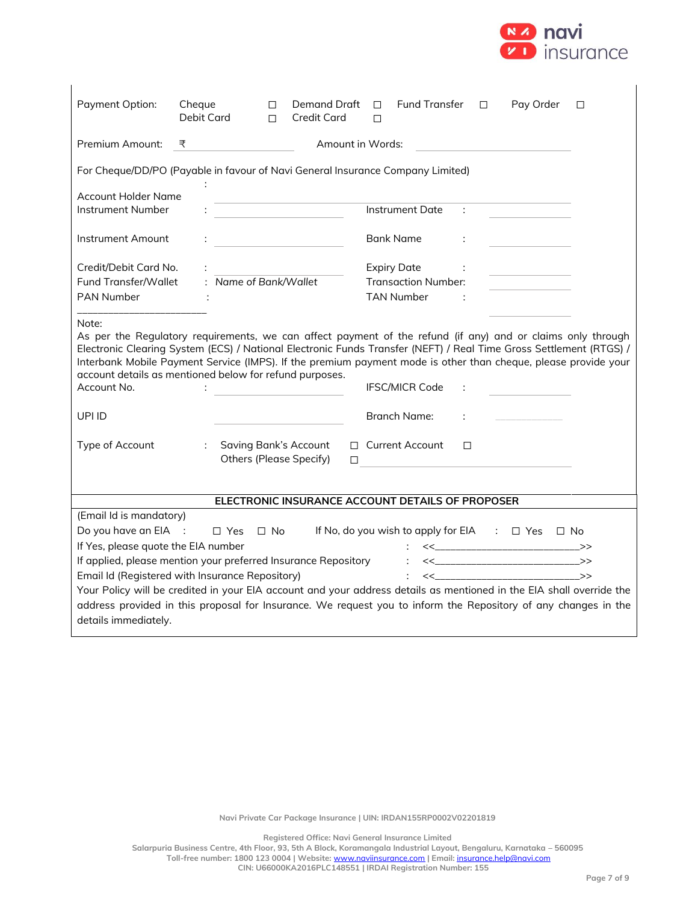

| Payment Option:                               | Cheque<br>Debit Card                                                                                                                                                                                                                                                                                                                                                                                           | Demand Draft<br>$\Box$<br><b>Credit Card</b><br>П            | <b>Fund Transfer</b><br>$\Box$<br>П                                                                                                  | $\Box$            | Pay Order                                | □ |
|-----------------------------------------------|----------------------------------------------------------------------------------------------------------------------------------------------------------------------------------------------------------------------------------------------------------------------------------------------------------------------------------------------------------------------------------------------------------------|--------------------------------------------------------------|--------------------------------------------------------------------------------------------------------------------------------------|-------------------|------------------------------------------|---|
| Premium Amount:                               | ₹                                                                                                                                                                                                                                                                                                                                                                                                              |                                                              | Amount in Words:                                                                                                                     |                   |                                          |   |
|                                               | For Cheque/DD/PO (Payable in favour of Navi General Insurance Company Limited)                                                                                                                                                                                                                                                                                                                                 |                                                              |                                                                                                                                      |                   |                                          |   |
| Account Holder Name<br>Instrument Number      |                                                                                                                                                                                                                                                                                                                                                                                                                |                                                              | <b>Instrument Date</b>                                                                                                               | ÷                 |                                          |   |
| Instrument Amount                             |                                                                                                                                                                                                                                                                                                                                                                                                                |                                                              | <b>Bank Name</b>                                                                                                                     | ÷                 |                                          |   |
| Credit/Debit Card No.<br>Fund Transfer/Wallet | : Name of Bank/Wallet                                                                                                                                                                                                                                                                                                                                                                                          |                                                              | <b>Expiry Date</b><br><b>Transaction Number:</b>                                                                                     | <b>Contractor</b> |                                          |   |
| <b>PAN Number</b>                             |                                                                                                                                                                                                                                                                                                                                                                                                                |                                                              | <b>TAN Number</b>                                                                                                                    |                   |                                          |   |
| Note:<br>Account No.                          | As per the Regulatory requirements, we can affect payment of the refund (if any) and or claims only through<br>Electronic Clearing System (ECS) / National Electronic Funds Transfer (NEFT) / Real Time Gross Settlement (RTGS) /<br>Interbank Mobile Payment Service (IMPS). If the premium payment mode is other than cheque, please provide your<br>account details as mentioned below for refund purposes. | <u> 1990 - Johann Barbara, martin a</u>                      | <b>IFSC/MICR Code</b>                                                                                                                |                   |                                          |   |
| UPI ID                                        |                                                                                                                                                                                                                                                                                                                                                                                                                |                                                              | <b>Branch Name:</b>                                                                                                                  | ÷                 |                                          |   |
| Type of Account                               | $\mathcal{L}$                                                                                                                                                                                                                                                                                                                                                                                                  | <b>Saving Bank's Account</b><br>Others (Please Specify)<br>□ | □ Current Account<br>the contract of the contract of the contract of the contract of the contract of the contract of the contract of | $\Box$            |                                          |   |
|                                               |                                                                                                                                                                                                                                                                                                                                                                                                                |                                                              | ELECTRONIC INSURANCE ACCOUNT DETAILS OF PROPOSER                                                                                     |                   |                                          |   |
| (Email Id is mandatory)                       |                                                                                                                                                                                                                                                                                                                                                                                                                |                                                              |                                                                                                                                      |                   |                                          |   |
| Do you have an EIA :                          | $\Box$ Yes<br>$\Box$ No                                                                                                                                                                                                                                                                                                                                                                                        |                                                              | If No, do you wish to apply for EIA : □ Yes □ No                                                                                     |                   |                                          |   |
| If Yes, please quote the EIA number           |                                                                                                                                                                                                                                                                                                                                                                                                                |                                                              | $\mathcal{L}_{\rm{max}}$                                                                                                             |                   | $<<$ _________________________________>> |   |
|                                               | If applied, please mention your preferred Insurance Repository     << ________________________>>                                                                                                                                                                                                                                                                                                               |                                                              |                                                                                                                                      |                   |                                          |   |
|                                               | Email Id (Registered with Insurance Repository)                                                                                                                                                                                                                                                                                                                                                                |                                                              |                                                                                                                                      |                   |                                          |   |
| details immediately.                          | Your Policy will be credited in your EIA account and your address details as mentioned in the EIA shall override the<br>address provided in this proposal for Insurance. We request you to inform the Repository of any changes in the                                                                                                                                                                         |                                                              |                                                                                                                                      |                   |                                          |   |

**Registered Office: Navi General Insurance Limited**

**Salarpuria Business Centre, 4th Floor, 93, 5th A Block, Koramangala Industrial Layout, Bengaluru, Karnataka – 560095 Toll-free number: 1800 123 0004 | Website:** [www.naviinsurance.com](http://www.naviinsurance.com/) **| Email:** [insurance.help@navi.com](mailto:insurance.help@navi.com) **CIN: U66000KA2016PLC148551 | IRDAI Registration Number: 155**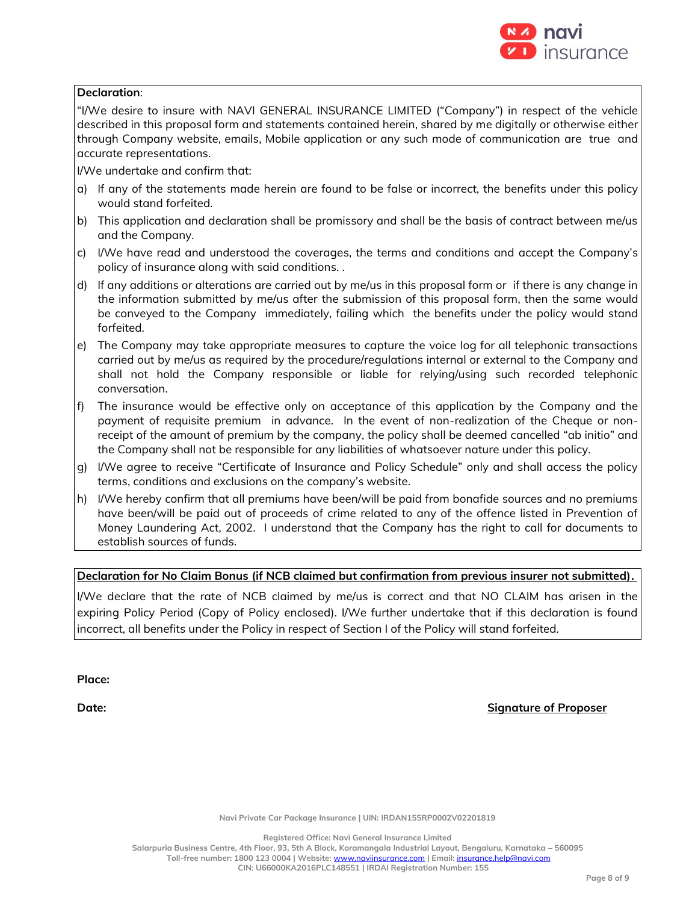

#### **Declaration**:

"I/We desire to insure with NAVI GENERAL INSURANCE LIMITED ("Company") in respect of the vehicle described in this proposal form and statements contained herein, shared by me digitally or otherwise either through Company website, emails, Mobile application or any such mode of communication are true and accurate representations.

I/We undertake and confirm that:

- a) If any of the statements made herein are found to be false or incorrect, the benefits under this policy would stand forfeited.
- b) This application and declaration shall be promissory and shall be the basis of contract between me/us and the Company.
- c) I/We have read and understood the coverages, the terms and conditions and accept the Company's policy of insurance along with said conditions. .
- d) If any additions or alterations are carried out by me/us in this proposal form or if there is any change in the information submitted by me/us after the submission of this proposal form, then the same would be conveyed to the Company immediately, failing which the benefits under the policy would stand forfeited.
- e) The Company may take appropriate measures to capture the voice log for all telephonic transactions carried out by me/us as required by the procedure/regulations internal or external to the Company and shall not hold the Company responsible or liable for relying/using such recorded telephonic conversation.
- f) The insurance would be effective only on acceptance of this application by the Company and the payment of requisite premium in advance. In the event of non-realization of the Cheque or nonreceipt of the amount of premium by the company, the policy shall be deemed cancelled "ab initio" and the Company shall not be responsible for any liabilities of whatsoever nature under this policy.
- g) I/We agree to receive "Certificate of Insurance and Policy Schedule" only and shall access the policy terms, conditions and exclusions on the company's website.
- h) I/We hereby confirm that all premiums have been/will be paid from bonafide sources and no premiums have been/will be paid out of proceeds of crime related to any of the offence listed in Prevention of Money Laundering Act, 2002. I understand that the Company has the right to call for documents to establish sources of funds.

## **Declaration for No Claim Bonus (if NCB claimed but confirmation from previous insurer not submitted).**

I/We declare that the rate of NCB claimed by me/us is correct and that NO CLAIM has arisen in the expiring Policy Period (Copy of Policy enclosed). I/We further undertake that if this declaration is found incorrect, all benefits under the Policy in respect of Section I of the Policy will stand forfeited.

**Place:**

**Date: Signature of Proposer**

**Navi Private Car Package Insurance | UIN: IRDAN155RP0002V02201819**

**Registered Office: Navi General Insurance Limited**

**Salarpuria Business Centre, 4th Floor, 93, 5th A Block, Koramangala Industrial Layout, Bengaluru, Karnataka – 560095 Toll-free number: 1800 123 0004 | Website:** [www.naviinsurance.com](http://www.naviinsurance.com/) **| Email:** [insurance.help@navi.com](mailto:insurance.help@navi.com)